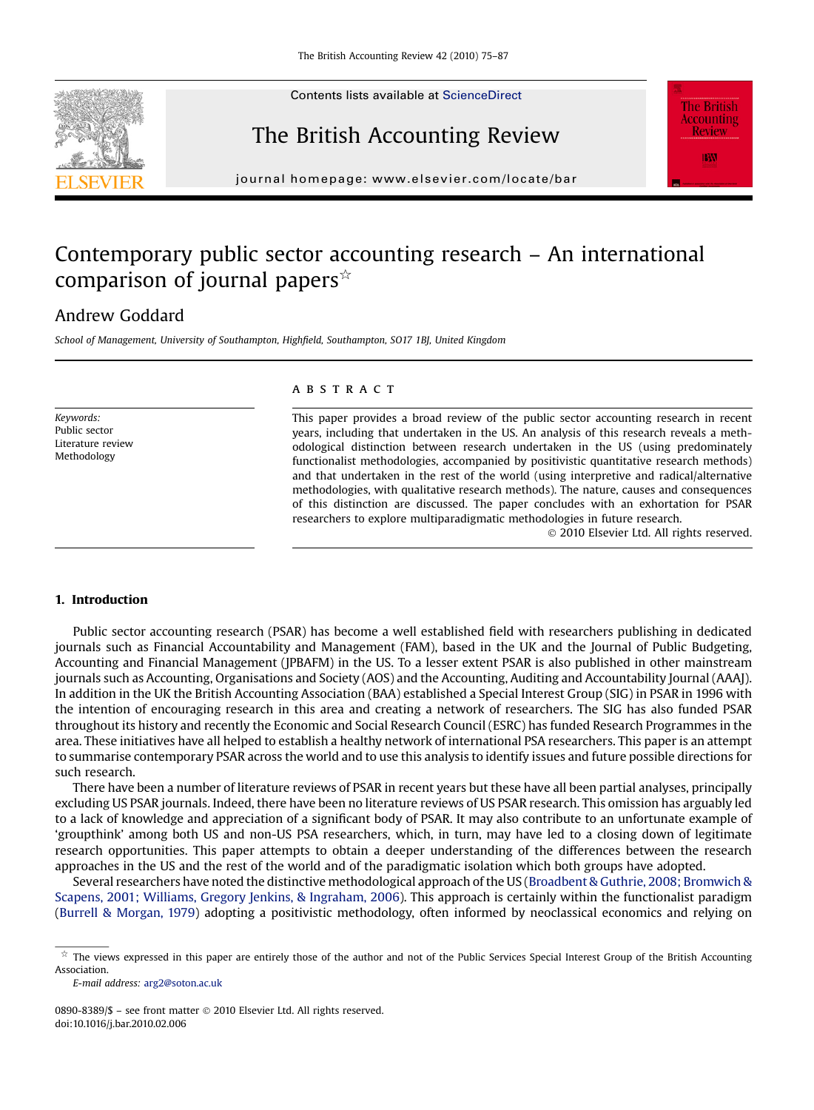Contents lists available at [ScienceDirect](www.sciencedirect.com/science/journal/08908389)





journal homepage: [www.elsevier.com/locate/bar](http://www.elsevier.com/locate/bar)

## Contemporary public sector accounting research – An international comparison of journal papers $\dot{\alpha}$

### Andrew Goddard

School of Management, University of Southampton, Highfield, Southampton, SO17 1BJ, United Kingdom

Keywords: Public sector Literature review Methodology

#### **ABSTRACT**

This paper provides a broad review of the public sector accounting research in recent years, including that undertaken in the US. An analysis of this research reveals a methodological distinction between research undertaken in the US (using predominately functionalist methodologies, accompanied by positivistic quantitative research methods) and that undertaken in the rest of the world (using interpretive and radical/alternative methodologies, with qualitative research methods). The nature, causes and consequences of this distinction are discussed. The paper concludes with an exhortation for PSAR researchers to explore multiparadigmatic methodologies in future research.

- 2010 Elsevier Ltd. All rights reserved.

**The British Accounting Review IBW** 

#### 1. Introduction

Public sector accounting research (PSAR) has become a well established field with researchers publishing in dedicated journals such as Financial Accountability and Management (FAM), based in the UK and the Journal of Public Budgeting, Accounting and Financial Management (JPBAFM) in the US. To a lesser extent PSAR is also published in other mainstream journals such as Accounting, Organisations and Society (AOS) and the Accounting, Auditing and Accountability Journal (AAAJ). In addition in the UK the British Accounting Association (BAA) established a Special Interest Group (SIG) in PSAR in 1996 with the intention of encouraging research in this area and creating a network of researchers. The SIG has also funded PSAR throughout its history and recently the Economic and Social Research Council (ESRC) has funded Research Programmes in the area. These initiatives have all helped to establish a healthy network of international PSA researchers. This paper is an attempt to summarise contemporary PSAR across the world and to use this analysis to identify issues and future possible directions for such research.

There have been a number of literature reviews of PSAR in recent years but these have all been partial analyses, principally excluding US PSAR journals. Indeed, there have been no literature reviews of US PSAR research. This omission has arguably led to a lack of knowledge and appreciation of a significant body of PSAR. It may also contribute to an unfortunate example of 'groupthink' among both US and non-US PSA researchers, which, in turn, may have led to a closing down of legitimate research opportunities. This paper attempts to obtain a deeper understanding of the differences between the research approaches in the US and the rest of the world and of the paradigmatic isolation which both groups have adopted.

Several researchers have noted the distinctive methodological approach of the US ([Broadbent & Guthrie, 2008; Bromwich &](#page--1-0) [Scapens, 2001; Williams, Gregory Jenkins, & Ingraham, 2006](#page--1-0)). This approach is certainly within the functionalist paradigm ([Burrell & Morgan, 1979](#page--1-0)) adopting a positivistic methodology, often informed by neoclassical economics and relying on

E-mail address: [arg2@soton.ac.uk](mailto:arg2@soton.ac.uk)

 $\dot{\pi}$  The views expressed in this paper are entirely those of the author and not of the Public Services Special Interest Group of the British Accounting Association.

<sup>0890-8389/\$ –</sup> see front matter © 2010 Elsevier Ltd. All rights reserved. doi:10.1016/j.bar.2010.02.006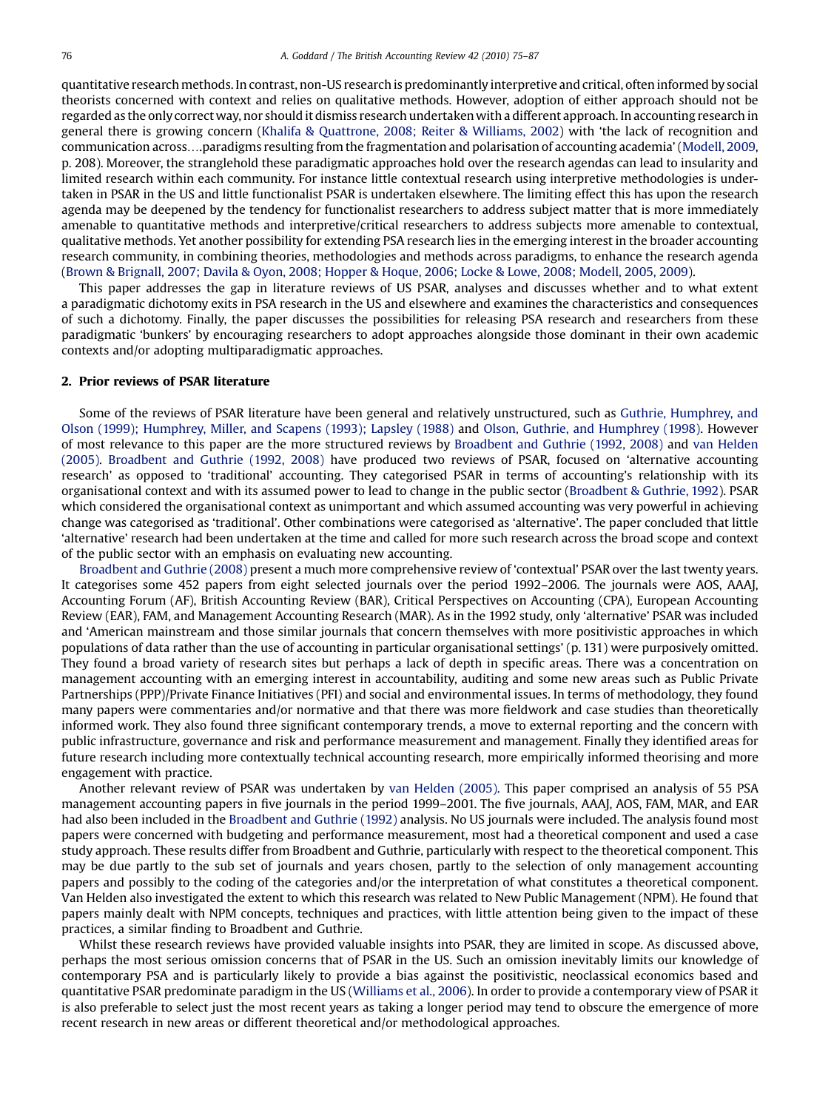quantitative research methods. In contrast, non-US research is predominantly interpretive and critical, often informed by social theorists concerned with context and relies on qualitative methods. However, adoption of either approach should not be regarded as the only correct way, nor should it dismiss research undertakenwith a different approach. In accounting research in general there is growing concern [\(Khalifa & Quattrone, 2008; Reiter & Williams, 2002](#page--1-0)) with 'the lack of recognition and communication across..paradigms resulting from the fragmentation and polarisation of accounting academia' [\(Modell, 2009](#page--1-0), p. 208). Moreover, the stranglehold these paradigmatic approaches hold over the research agendas can lead to insularity and limited research within each community. For instance little contextual research using interpretive methodologies is undertaken in PSAR in the US and little functionalist PSAR is undertaken elsewhere. The limiting effect this has upon the research agenda may be deepened by the tendency for functionalist researchers to address subject matter that is more immediately amenable to quantitative methods and interpretive/critical researchers to address subjects more amenable to contextual, qualitative methods. Yet another possibility for extending PSA research lies in the emerging interest in the broader accounting research community, in combining theories, methodologies and methods across paradigms, to enhance the research agenda [\(Brown & Brignall, 2007; Davila & Oyon, 2008; Hopper & Hoque, 2006; Locke & Lowe, 2008; Modell, 2005, 2009](#page--1-0)).

This paper addresses the gap in literature reviews of US PSAR, analyses and discusses whether and to what extent a paradigmatic dichotomy exits in PSA research in the US and elsewhere and examines the characteristics and consequences of such a dichotomy. Finally, the paper discusses the possibilities for releasing PSA research and researchers from these paradigmatic 'bunkers' by encouraging researchers to adopt approaches alongside those dominant in their own academic contexts and/or adopting multiparadigmatic approaches.

#### 2. Prior reviews of PSAR literature

Some of the reviews of PSAR literature have been general and relatively unstructured, such as [Guthrie, Humphrey, and](#page--1-0) [Olson \(1999\); Humphrey, Miller, and Scapens \(1993\); Lapsley \(1988\)](#page--1-0) and [Olson, Guthrie, and Humphrey \(1998\).](#page--1-0) However of most relevance to this paper are the more structured reviews by [Broadbent and Guthrie \(1992, 2008\)](#page--1-0) and [van Helden](#page--1-0) [\(2005\)](#page--1-0). [Broadbent and Guthrie \(1992, 2008\)](#page--1-0) have produced two reviews of PSAR, focused on 'alternative accounting research' as opposed to 'traditional' accounting. They categorised PSAR in terms of accounting's relationship with its organisational context and with its assumed power to lead to change in the public sector ([Broadbent & Guthrie, 1992\)](#page--1-0). PSAR which considered the organisational context as unimportant and which assumed accounting was very powerful in achieving change was categorised as 'traditional'. Other combinations were categorised as 'alternative'. The paper concluded that little 'alternative' research had been undertaken at the time and called for more such research across the broad scope and context of the public sector with an emphasis on evaluating new accounting.

[Broadbent and Guthrie \(2008\)](#page--1-0) present a much more comprehensive review of 'contextual' PSAR over the last twenty years. It categorises some 452 papers from eight selected journals over the period 1992–2006. The journals were AOS, AAAJ, Accounting Forum (AF), British Accounting Review (BAR), Critical Perspectives on Accounting (CPA), European Accounting Review (EAR), FAM, and Management Accounting Research (MAR). As in the 1992 study, only 'alternative' PSAR was included and 'American mainstream and those similar journals that concern themselves with more positivistic approaches in which populations of data rather than the use of accounting in particular organisational settings' (p. 131) were purposively omitted. They found a broad variety of research sites but perhaps a lack of depth in specific areas. There was a concentration on management accounting with an emerging interest in accountability, auditing and some new areas such as Public Private Partnerships (PPP)/Private Finance Initiatives (PFI) and social and environmental issues. In terms of methodology, they found many papers were commentaries and/or normative and that there was more fieldwork and case studies than theoretically informed work. They also found three significant contemporary trends, a move to external reporting and the concern with public infrastructure, governance and risk and performance measurement and management. Finally they identified areas for future research including more contextually technical accounting research, more empirically informed theorising and more engagement with practice.

Another relevant review of PSAR was undertaken by [van Helden \(2005\).](#page--1-0) This paper comprised an analysis of 55 PSA management accounting papers in five journals in the period 1999–2001. The five journals, AAAJ, AOS, FAM, MAR, and EAR had also been included in the [Broadbent and Guthrie \(1992\)](#page--1-0) analysis. No US journals were included. The analysis found most papers were concerned with budgeting and performance measurement, most had a theoretical component and used a case study approach. These results differ from Broadbent and Guthrie, particularly with respect to the theoretical component. This may be due partly to the sub set of journals and years chosen, partly to the selection of only management accounting papers and possibly to the coding of the categories and/or the interpretation of what constitutes a theoretical component. Van Helden also investigated the extent to which this research was related to New Public Management (NPM). He found that papers mainly dealt with NPM concepts, techniques and practices, with little attention being given to the impact of these practices, a similar finding to Broadbent and Guthrie.

Whilst these research reviews have provided valuable insights into PSAR, they are limited in scope. As discussed above, perhaps the most serious omission concerns that of PSAR in the US. Such an omission inevitably limits our knowledge of contemporary PSA and is particularly likely to provide a bias against the positivistic, neoclassical economics based and quantitative PSAR predominate paradigm in the US [\(Williams et al., 2006](#page--1-0)). In order to provide a contemporary view of PSAR it is also preferable to select just the most recent years as taking a longer period may tend to obscure the emergence of more recent research in new areas or different theoretical and/or methodological approaches.